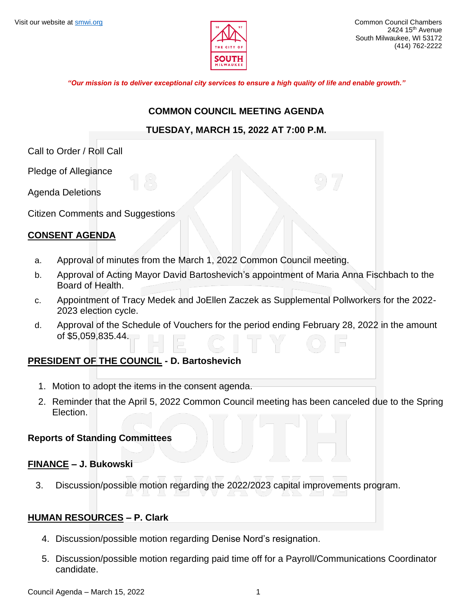

*"Our mission is to deliver exceptional city services to ensure a high quality of life and enable growth."*

#### **COMMON COUNCIL MEETING AGENDA**

## **TUESDAY, MARCH 15, 2022 AT 7:00 P.M.**

Call to Order / Roll Call

Pledge of Allegiance

Agenda Deletions

Citizen Comments and Suggestions

## **CONSENT AGENDA**

- a. Approval of minutes from the March 1, 2022 Common Council meeting.
- b. Approval of Acting Mayor David Bartoshevich's appointment of Maria Anna Fischbach to the Board of Health.
- c. Appointment of Tracy Medek and JoEllen Zaczek as Supplemental Pollworkers for the 2022- 2023 election cycle.
- d. Approval of the Schedule of Vouchers for the period ending February 28, 2022 in the amount of \$5,059,835.44.

## **PRESIDENT OF THE COUNCIL - D. Bartoshevich**

- 1. Motion to adopt the items in the consent agenda.
- 2. Reminder that the April 5, 2022 Common Council meeting has been canceled due to the Spring Election.

## **Reports of Standing Committees**

## **FINANCE – J. Bukowski**

3. Discussion/possible motion regarding the 2022/2023 capital improvements program.

## **HUMAN RESOURCES – P. Clark**

- 4. Discussion/possible motion regarding Denise Nord's resignation.
- 5. Discussion/possible motion regarding paid time off for a Payroll/Communications Coordinator candidate.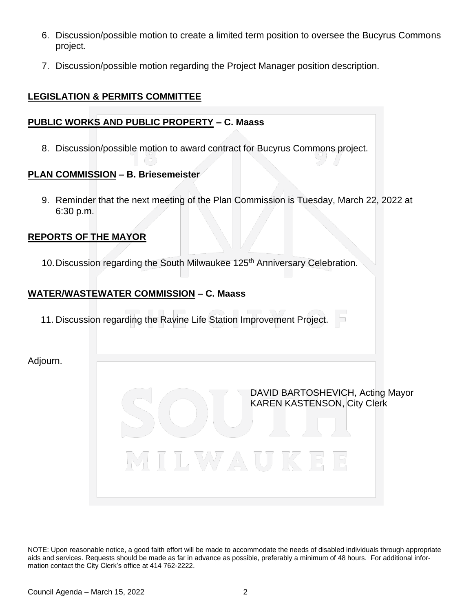- 6. Discussion/possible motion to create a limited term position to oversee the Bucyrus Commons project.
- 7. Discussion/possible motion regarding the Project Manager position description.

## **LEGISLATION & PERMITS COMMITTEE**

## **PUBLIC WORKS AND PUBLIC PROPERTY – C. Maass**

8. Discussion/possible motion to award contract for Bucyrus Commons project.

## **PLAN COMMISSION – B. Briesemeister**

9. Reminder that the next meeting of the Plan Commission is Tuesday, March 22, 2022 at 6:30 p.m.

## **REPORTS OF THE MAYOR**

10. Discussion regarding the South Milwaukee 125<sup>th</sup> Anniversary Celebration.

## **WATER/WASTEWATER COMMISSION – C. Maass**

11. Discussion regarding the Ravine Life Station Improvement Project.

Adjourn.

DAVID BARTOSHEVICH, Acting Mayor KAREN KASTENSON, City Clerk

NOTE: Upon reasonable notice, a good faith effort will be made to accommodate the needs of disabled individuals through appropriate aids and services. Requests should be made as far in advance as possible, preferably a minimum of 48 hours. For additional information contact the City Clerk's office at 414 762-2222.